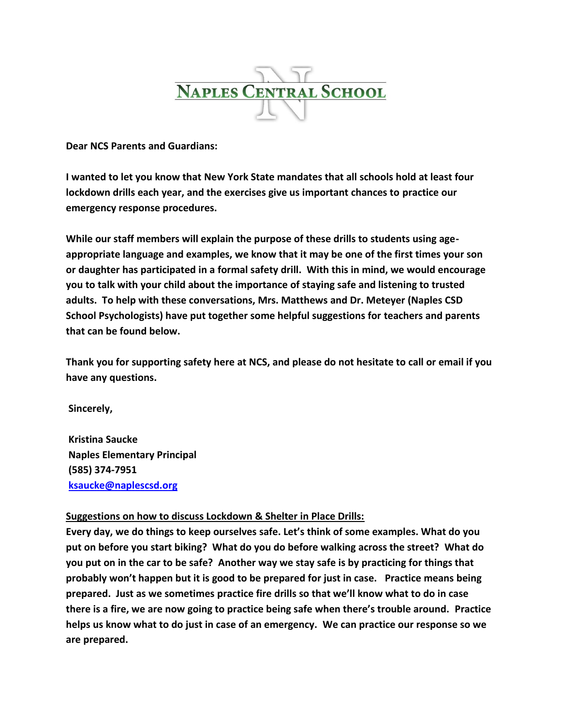

**Dear NCS Parents and Guardians:**

**I wanted to let you know that New York State mandates that all schools hold at least four lockdown drills each year, and the exercises give us important chances to practice our emergency response procedures.**

**While our staff members will explain the purpose of these drills to students using ageappropriate language and examples, we know that it may be one of the first times your son or daughter has participated in a formal safety drill. With this in mind, we would encourage you to talk with your child about the importance of staying safe and listening to trusted adults. To help with these conversations, Mrs. Matthews and Dr. Meteyer (Naples CSD School Psychologists) have put together some helpful suggestions for teachers and parents that can be found below.**

**Thank you for supporting safety here at NCS, and please do not hesitate to call or email if you have any questions.**

**Sincerely,**

**Kristina Saucke Naples Elementary Principal (585) 374-7951 [ksaucke@naplescsd.org](mailto:ksaucke@naplescsd.org)**

## **Suggestions on how to discuss Lockdown & Shelter in Place Drills:**

**Every day, we do things to keep ourselves safe. Let's think of some examples. What do you put on before you start biking? What do you do before walking across the street? What do you put on in the car to be safe? Another way we stay safe is by practicing for things that probably won't happen but it is good to be prepared for just in case. Practice means being prepared. Just as we sometimes practice fire drills so that we'll know what to do in case there is a fire, we are now going to practice being safe when there's trouble around. Practice helps us know what to do just in case of an emergency. We can practice our response so we are prepared.**